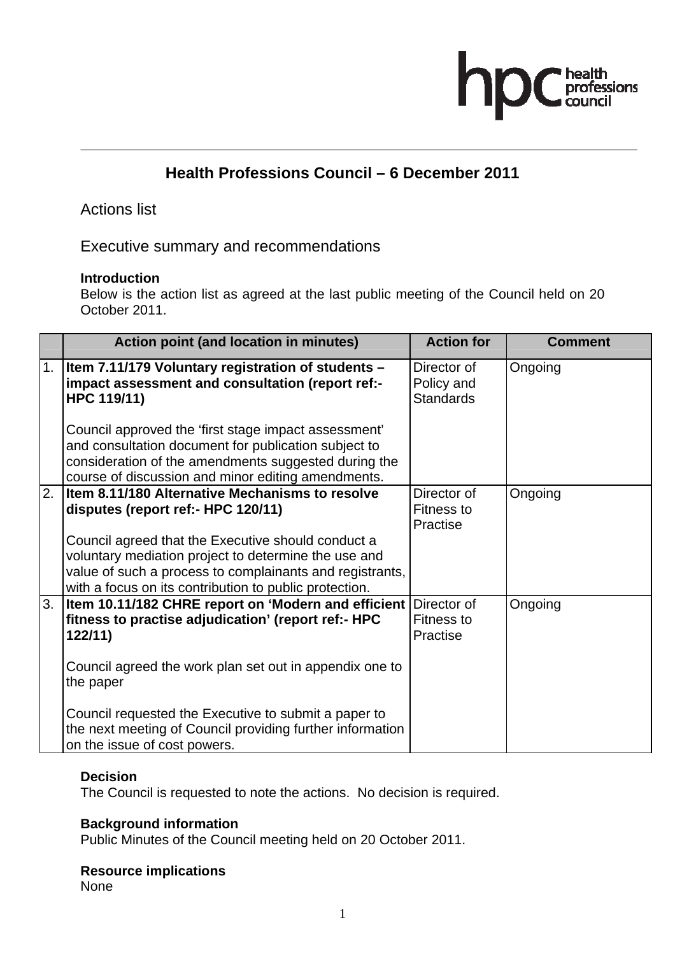# hp health<br>professions

## **Health Professions Council – 6 December 2011**

### Actions list

Executive summary and recommendations

#### **Introduction**

Below is the action list as agreed at the last public meeting of the Council held on 20 October 2011.

|    | <b>Action point (and location in minutes)</b>                                                                                                                                                                                    | <b>Action for</b>                             | <b>Comment</b> |
|----|----------------------------------------------------------------------------------------------------------------------------------------------------------------------------------------------------------------------------------|-----------------------------------------------|----------------|
| 1. | <b>Item 7.11/179 Voluntary registration of students -</b><br>impact assessment and consultation (report ref:-<br>HPC 119/11)                                                                                                     | Director of<br>Policy and<br><b>Standards</b> | Ongoing        |
|    | Council approved the 'first stage impact assessment'<br>and consultation document for publication subject to<br>consideration of the amendments suggested during the<br>course of discussion and minor editing amendments.       |                                               |                |
| 2. | Item 8.11/180 Alternative Mechanisms to resolve<br>disputes (report ref:- HPC 120/11)                                                                                                                                            | Director of<br>Fitness to<br>Practise         | Ongoing        |
|    | Council agreed that the Executive should conduct a<br>voluntary mediation project to determine the use and<br>value of such a process to complainants and registrants,<br>with a focus on its contribution to public protection. |                                               |                |
| 3. | Item 10.11/182 CHRE report on 'Modern and efficient<br>fitness to practise adjudication' (report ref:- HPC<br>122/11                                                                                                             | Director of<br>Fitness to<br>Practise         | Ongoing        |
|    | Council agreed the work plan set out in appendix one to<br>the paper                                                                                                                                                             |                                               |                |
|    | Council requested the Executive to submit a paper to<br>the next meeting of Council providing further information<br>on the issue of cost powers.                                                                                |                                               |                |

#### **Decision**

The Council is requested to note the actions. No decision is required.

#### **Background information**

Public Minutes of the Council meeting held on 20 October 2011.

#### **Resource implications**

None